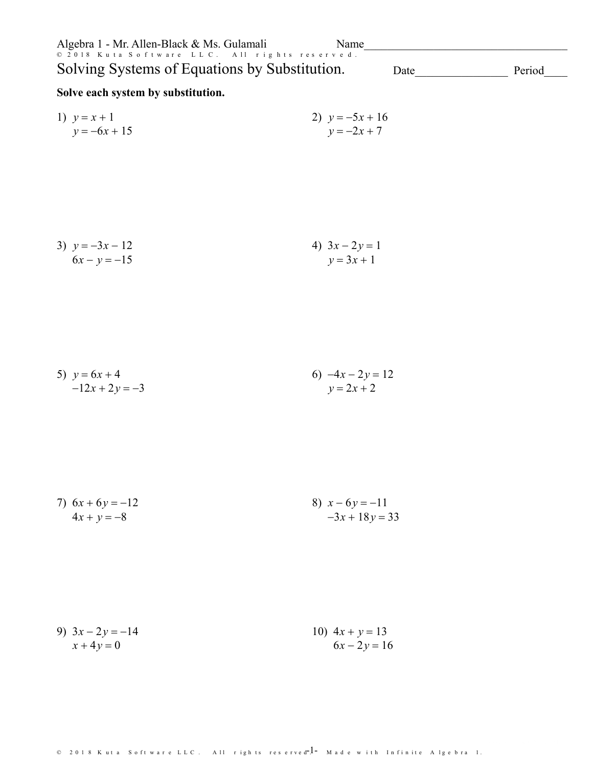| Algebra 1 - Mr. Allen-Black & Ms. Gulamali<br>© 2018 Kuta Software LLC. All rights reserved. | Name                                  |        |
|----------------------------------------------------------------------------------------------|---------------------------------------|--------|
| Solving Systems of Equations by Substitution.                                                | Date                                  | Period |
| Solve each system by substitution.                                                           |                                       |        |
| 1) $y = x + 1$<br>$y = -6x + 15$                                                             | 2) $y = -5x + 16$<br>$y = -2x + 7$    |        |
| 3) $y = -3x - 12$<br>$6x - y = -15$                                                          | 4) $3x - 2y = 1$<br>$y = 3x + 1$      |        |
| 5) $y = 6x + 4$<br>$-12x + 2y = -3$                                                          | 6) $-4x - 2y = 12$<br>$y = 2x + 2$    |        |
| 7) $6x + 6y = -12$<br>$4x + y = -8$                                                          | 8) $x - 6y = -11$<br>$-3x + 18y = 33$ |        |
| 9) $3x - 2y = -14$<br>$x + 4y = 0$                                                           | 10) $4x + y = 13$<br>$6x - 2y = 16$   |        |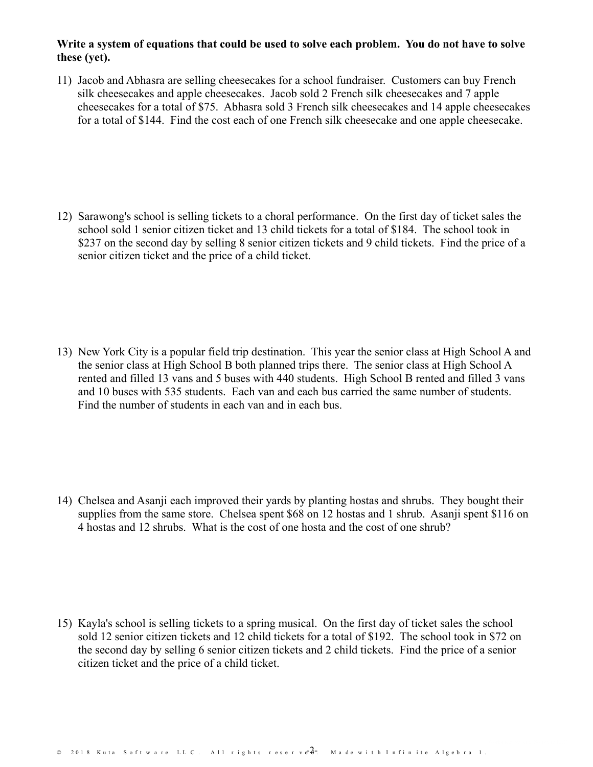## **Write a system of equations that could be used tosolve each problem. You do not have to solve these (yet).**

11) Jacob and Abhasra are selling cheesecakes for a school fundraiser. Customers can buy French silk cheesecakes and apple cheesecakes. Jacob sold 2 French silk cheesecakes and 7 apple cheesecakes for a total of \$75. Abhasra sold 3 French silk cheesecakes and 14 apple cheesecakes for a total of \$144. Find the cost each of one French silk cheesecake and one apple cheesecake.

12) Sarawong's school is selling tickets to a choral performance. On the first day of ticket sales the school sold 1 senior citizen ticket and 13 child tickets for a total of \$184. The school took in \$237 on the second day by selling 8 senior citizen tickets and 9 child tickets. Find the price of a senior citizen ticket and the price of a child ticket.

13) New York Cityis a popular field trip destination. This year the senior class at High School A and the senior class at High School B both planned trips there. The senior class at High School A rented and filled 13 vans and 5 buses with 440 students. High School B rented and filled 3 vans and 10 buses with 535 students. Each van and each bus carried the same number of students. Find the number of students in each van and in each bus.

14) Chelsea and Asanji each improved their yards by planting hostas and shrubs. They bought their supplies from the same store. Chelsea spent \$68 on 12 hostas and 1 shrub. Asanji spent \$116 on 4 hostas and 12 shrubs. What is the cost of one hosta and the cost of one shrub?

15) Kayla's school is selling tickets to a spring musical. On the first day of ticket sales the school sold 12 senior citizen tickets and 12 child tickets for a total of \$192. The school took in \$72 on the second day by selling 6 senior citizen tickets and 2 child tickets. Find the price of a senior citizen ticket and the price of a child ticket.